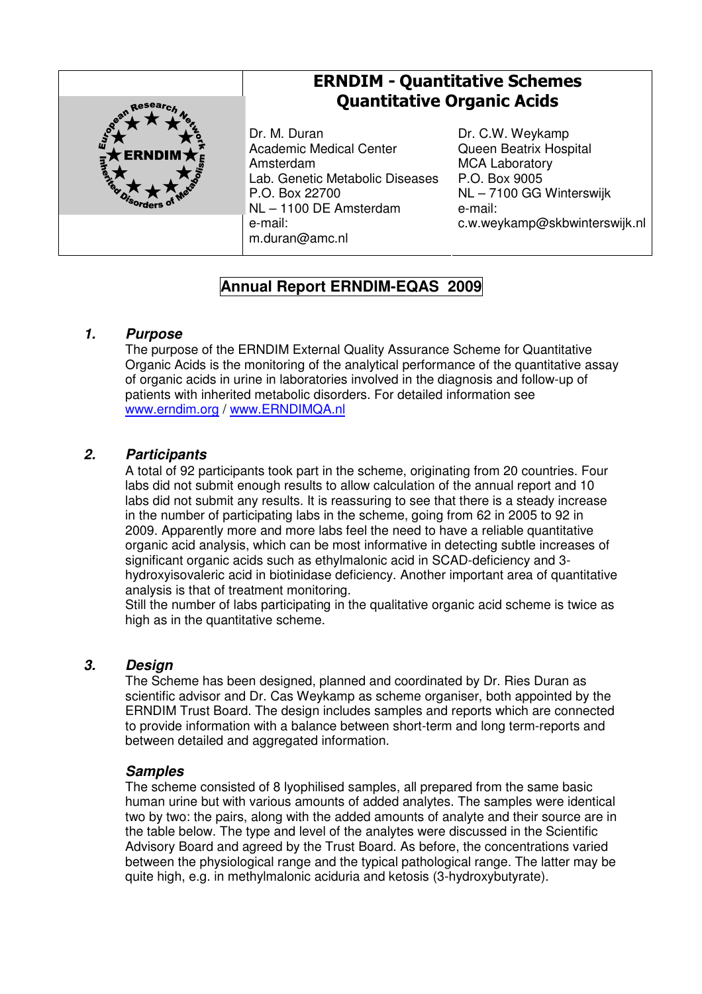

# ERNDIM - Quantitative Schemes Quantitative Organic Acids

Dr. M. Duran Academic Medical Center Amsterdam Lab. Genetic Metabolic Diseases P.O. Box 22700 NL – 1100 DE Amsterdam e-mail: m.duran@amc.nl

Dr. C.W. Weykamp Queen Beatrix Hospital MCA Laboratory P.O. Box 9005 NL – 7100 GG Winterswijk e-mail: c.w.weykamp@skbwinterswijk.nl

## **Annual Report ERNDIM-EQAS 2009**

## **1. Purpose**

The purpose of the ERNDIM External Quality Assurance Scheme for Quantitative Organic Acids is the monitoring of the analytical performance of the quantitative assay of organic acids in urine in laboratories involved in the diagnosis and follow-up of patients with inherited metabolic disorders. For detailed information see www.erndim.org / www.ERNDIMQA.nl

## **2. Participants**

A total of 92 participants took part in the scheme, originating from 20 countries. Four labs did not submit enough results to allow calculation of the annual report and 10 labs did not submit any results. It is reassuring to see that there is a steady increase in the number of participating labs in the scheme, going from 62 in 2005 to 92 in 2009. Apparently more and more labs feel the need to have a reliable quantitative organic acid analysis, which can be most informative in detecting subtle increases of significant organic acids such as ethylmalonic acid in SCAD-deficiency and 3 hydroxyisovaleric acid in biotinidase deficiency. Another important area of quantitative analysis is that of treatment monitoring.

Still the number of labs participating in the qualitative organic acid scheme is twice as high as in the quantitative scheme.

## **3. Design**

The Scheme has been designed, planned and coordinated by Dr. Ries Duran as scientific advisor and Dr. Cas Weykamp as scheme organiser, both appointed by the ERNDIM Trust Board. The design includes samples and reports which are connected to provide information with a balance between short-term and long term-reports and between detailed and aggregated information.

#### **Samples**

The scheme consisted of 8 lyophilised samples, all prepared from the same basic human urine but with various amounts of added analytes. The samples were identical two by two: the pairs, along with the added amounts of analyte and their source are in the table below. The type and level of the analytes were discussed in the Scientific Advisory Board and agreed by the Trust Board. As before, the concentrations varied between the physiological range and the typical pathological range. The latter may be quite high, e.g. in methylmalonic aciduria and ketosis (3-hydroxybutyrate).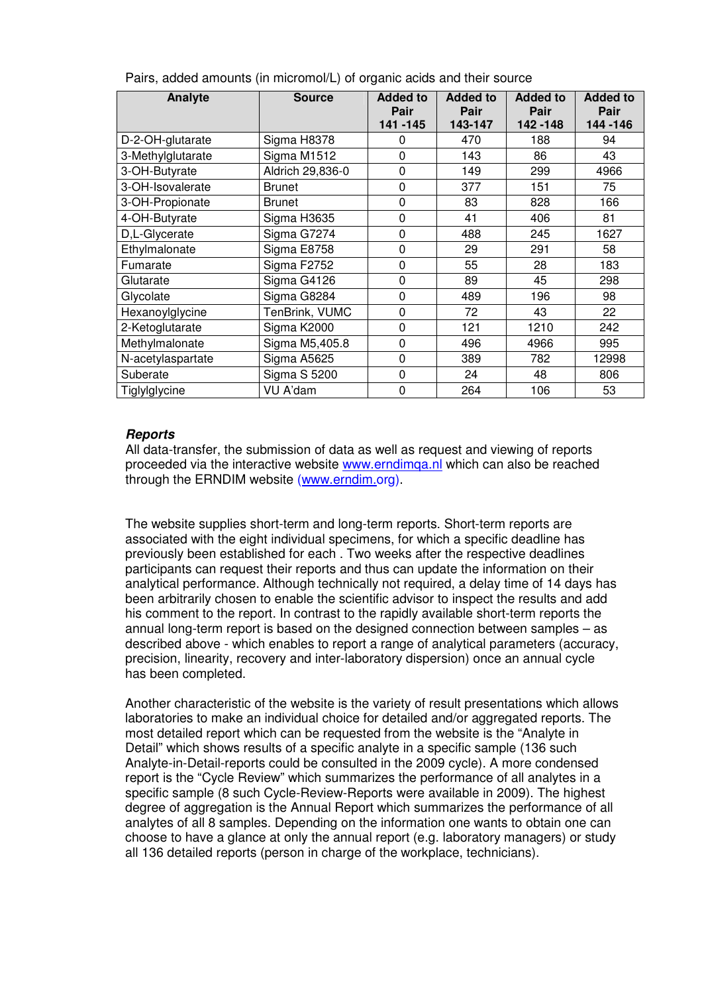| Analyte           | <b>Source</b>    | <b>Added to</b><br>Pair<br>141 - 145 | <b>Added to</b><br>Pair<br>143-147 | <b>Added to</b><br>Pair<br>142 - 148 | <b>Added to</b><br>Pair<br>144 - 146 |
|-------------------|------------------|--------------------------------------|------------------------------------|--------------------------------------|--------------------------------------|
| D-2-OH-glutarate  | Sigma H8378      | 0                                    | 470                                | 188                                  | 94                                   |
| 3-Methylglutarate | Sigma M1512      | 0                                    | 143                                | 86                                   | 43                                   |
| 3-OH-Butyrate     | Aldrich 29,836-0 | 0                                    | 149                                | 299                                  | 4966                                 |
| 3-OH-Isovalerate  | <b>Brunet</b>    | 0                                    | 377                                | 151                                  | 75                                   |
| 3-OH-Propionate   | <b>Brunet</b>    | $\mathbf 0$                          | 83                                 | 828                                  | 166                                  |
| 4-OH-Butyrate     | Sigma H3635      | 0                                    | 41                                 | 406                                  | 81                                   |
| D,L-Glycerate     | Sigma G7274      | 0                                    | 488                                | 245                                  | 1627                                 |
| Ethylmalonate     | Sigma E8758      | 0                                    | 29                                 | 291                                  | 58                                   |
| Fumarate          | Sigma F2752      | 0                                    | 55                                 | 28                                   | 183                                  |
| Glutarate         | Sigma G4126      | 0                                    | 89                                 | 45                                   | 298                                  |
| Glycolate         | Sigma G8284      | 0                                    | 489                                | 196                                  | 98                                   |
| Hexanoylglycine   | TenBrink, VUMC   | 0                                    | 72                                 | 43                                   | 22                                   |
| 2-Ketoglutarate   | Sigma K2000      | 0                                    | 121                                | 1210                                 | 242                                  |
| Methylmalonate    | Sigma M5,405.8   | 0                                    | 496                                | 4966                                 | 995                                  |
| N-acetylaspartate | Sigma A5625      | 0                                    | 389                                | 782                                  | 12998                                |
| Suberate          | Sigma S 5200     | 0                                    | 24                                 | 48                                   | 806                                  |
| Tiglylglycine     | VU A'dam         | 0                                    | 264                                | 106                                  | 53                                   |

|  |  | Pairs, added amounts (in micromol/L) of organic acids and their source |  |  |  |
|--|--|------------------------------------------------------------------------|--|--|--|
|  |  |                                                                        |  |  |  |

#### **Reports**

All data-transfer, the submission of data as well as request and viewing of reports proceeded via the interactive website www.erndimqa.nl which can also be reached through the ERNDIM website (www.erndim.org).

The website supplies short-term and long-term reports. Short-term reports are associated with the eight individual specimens, for which a specific deadline has previously been established for each . Two weeks after the respective deadlines participants can request their reports and thus can update the information on their analytical performance. Although technically not required, a delay time of 14 days has been arbitrarily chosen to enable the scientific advisor to inspect the results and add his comment to the report. In contrast to the rapidly available short-term reports the annual long-term report is based on the designed connection between samples – as described above - which enables to report a range of analytical parameters (accuracy, precision, linearity, recovery and inter-laboratory dispersion) once an annual cycle has been completed.

Another characteristic of the website is the variety of result presentations which allows laboratories to make an individual choice for detailed and/or aggregated reports. The most detailed report which can be requested from the website is the "Analyte in Detail" which shows results of a specific analyte in a specific sample (136 such Analyte-in-Detail-reports could be consulted in the 2009 cycle). A more condensed report is the "Cycle Review" which summarizes the performance of all analytes in a specific sample (8 such Cycle-Review-Reports were available in 2009). The highest degree of aggregation is the Annual Report which summarizes the performance of all analytes of all 8 samples. Depending on the information one wants to obtain one can choose to have a glance at only the annual report (e.g. laboratory managers) or study all 136 detailed reports (person in charge of the workplace, technicians).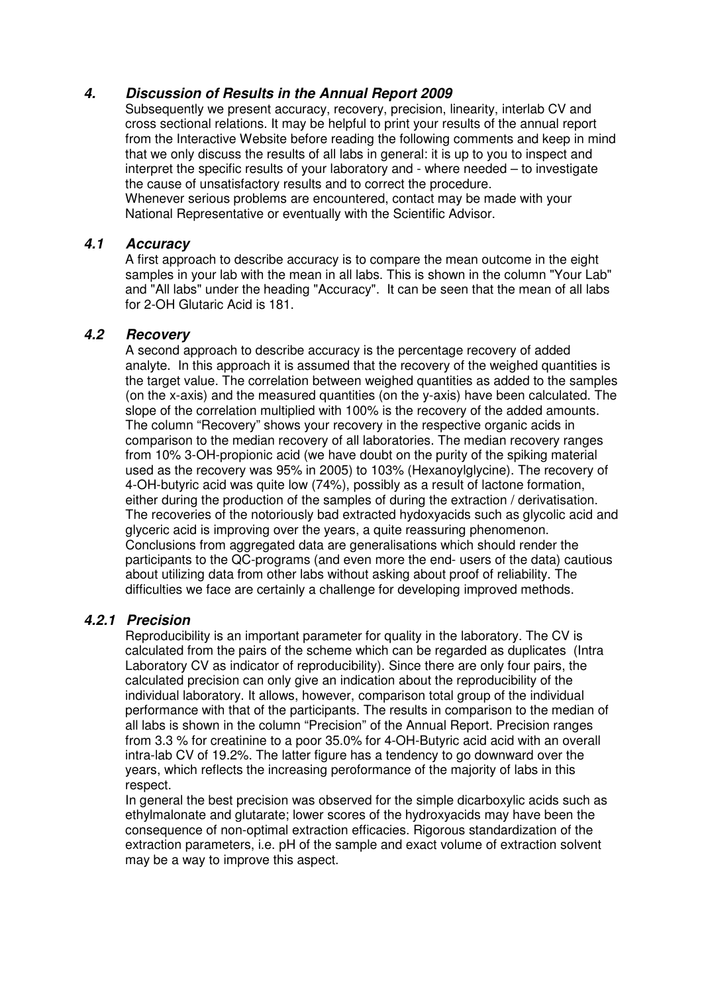## **4. Discussion of Results in the Annual Report 2009**

Subsequently we present accuracy, recovery, precision, linearity, interlab CV and cross sectional relations. It may be helpful to print your results of the annual report from the Interactive Website before reading the following comments and keep in mind that we only discuss the results of all labs in general: it is up to you to inspect and interpret the specific results of your laboratory and - where needed – to investigate the cause of unsatisfactory results and to correct the procedure. Whenever serious problems are encountered, contact may be made with your National Representative or eventually with the Scientific Advisor.

### **4.1 Accuracy**

A first approach to describe accuracy is to compare the mean outcome in the eight samples in your lab with the mean in all labs. This is shown in the column "Your Lab" and "All labs" under the heading "Accuracy". It can be seen that the mean of all labs for 2-OH Glutaric Acid is 181.

## **4.2 Recovery**

A second approach to describe accuracy is the percentage recovery of added analyte. In this approach it is assumed that the recovery of the weighed quantities is the target value. The correlation between weighed quantities as added to the samples (on the x-axis) and the measured quantities (on the y-axis) have been calculated. The slope of the correlation multiplied with 100% is the recovery of the added amounts. The column "Recovery" shows your recovery in the respective organic acids in comparison to the median recovery of all laboratories. The median recovery ranges from 10% 3-OH-propionic acid (we have doubt on the purity of the spiking material used as the recovery was 95% in 2005) to 103% (Hexanoylglycine). The recovery of 4-OH-butyric acid was quite low (74%), possibly as a result of lactone formation, either during the production of the samples of during the extraction / derivatisation. The recoveries of the notoriously bad extracted hydoxyacids such as glycolic acid and glyceric acid is improving over the years, a quite reassuring phenomenon. Conclusions from aggregated data are generalisations which should render the participants to the QC-programs (and even more the end- users of the data) cautious about utilizing data from other labs without asking about proof of reliability. The difficulties we face are certainly a challenge for developing improved methods.

## **4.2.1 Precision**

Reproducibility is an important parameter for quality in the laboratory. The CV is calculated from the pairs of the scheme which can be regarded as duplicates (Intra Laboratory CV as indicator of reproducibility). Since there are only four pairs, the calculated precision can only give an indication about the reproducibility of the individual laboratory. It allows, however, comparison total group of the individual performance with that of the participants. The results in comparison to the median of all labs is shown in the column "Precision" of the Annual Report. Precision ranges from 3.3 % for creatinine to a poor 35.0% for 4-OH-Butyric acid acid with an overall intra-lab CV of 19.2%. The latter figure has a tendency to go downward over the years, which reflects the increasing peroformance of the majority of labs in this respect.

In general the best precision was observed for the simple dicarboxylic acids such as ethylmalonate and glutarate; lower scores of the hydroxyacids may have been the consequence of non-optimal extraction efficacies. Rigorous standardization of the extraction parameters, i.e. pH of the sample and exact volume of extraction solvent may be a way to improve this aspect.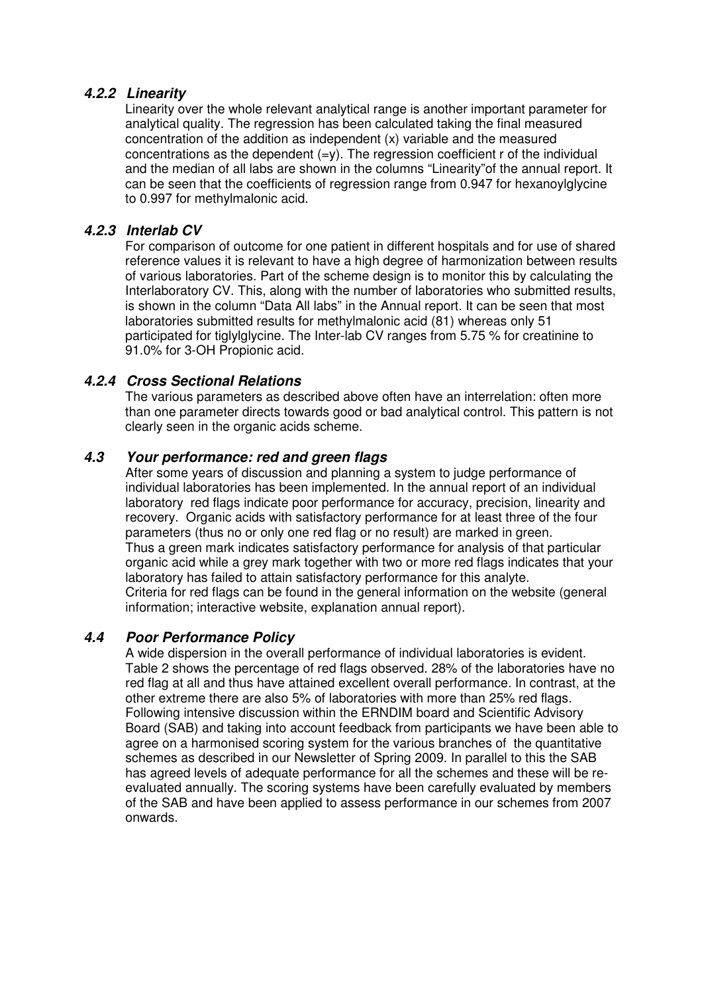## **4.2.2 Linearity**

Linearity over the whole relevant analytical range is another important parameter for analytical quality. The regression has been calculated taking the final measured concentration of the addition as independent (x) variable and the measured concentrations as the dependent  $(=y)$ . The regression coefficient r of the individual and the median of all labs are shown in the columns "Linearity"of the annual report. It can be seen that the coefficients of regression range from 0.947 for hexanoylglycine to 0.997 for methylmalonic acid.

### **4.2.3 Interlab CV**

For comparison of outcome for one patient in different hospitals and for use of shared reference values it is relevant to have a high degree of harmonization between results of various laboratories. Part of the scheme design is to monitor this by calculating the Interlaboratory CV. This, along with the number of laboratories who submitted results, is shown in the column "Data All labs" in the Annual report. It can be seen that most laboratories submitted results for methylmalonic acid (81) whereas only 51 participated for tiglylglycine. The Inter-lab CV ranges from 5.75 % for creatinine to 91.0% for 3-OH Propionic acid.

### **4.2.4 Cross Sectional Relations**

The various parameters as described above often have an interrelation: often more than one parameter directs towards good or bad analytical control. This pattern is not clearly seen in the organic acids scheme.

### **4.3 Your performance: red and green flags**

After some years of discussion and planning a system to judge performance of individual laboratories has been implemented. In the annual report of an individual laboratory red flags indicate poor performance for accuracy, precision, linearity and recovery. Organic acids with satisfactory performance for at least three of the four parameters (thus no or only one red flag or no result) are marked in green. Thus a green mark indicates satisfactory performance for analysis of that particular organic acid while a grey mark together with two or more red flags indicates that your laboratory has failed to attain satisfactory performance for this analyte. Criteria for red flags can be found in the general information on the website (general information; interactive website, explanation annual report).

#### **4.4 Poor Performance Policy**

A wide dispersion in the overall performance of individual laboratories is evident. Table 2 shows the percentage of red flags observed. 28% of the laboratories have no red flag at all and thus have attained excellent overall performance. In contrast, at the other extreme there are also 5% of laboratories with more than 25% red flags. Following intensive discussion within the ERNDIM board and Scientific Advisory Board (SAB) and taking into account feedback from participants we have been able to agree on a harmonised scoring system for the various branches of the quantitative schemes as described in our Newsletter of Spring 2009. In parallel to this the SAB has agreed levels of adequate performance for all the schemes and these will be reevaluated annually. The scoring systems have been carefully evaluated by members of the SAB and have been applied to assess performance in our schemes from 2007 onwards.